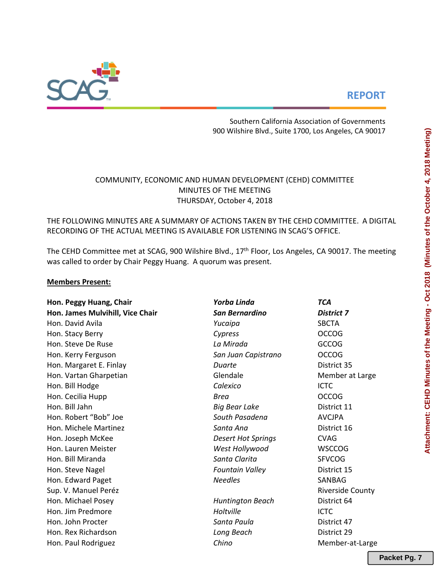# **REPORT**



Southern California Association of Governments 900 Wilshire Blvd., Suite 1700, Los Angeles, CA 90017

# COMMUNITY, ECONOMIC AND HUMAN DEVELOPMENT (CEHD) COMMITTEE MINUTES OF THE MEETING THURSDAY, October 4, 2018

# THE FOLLOWING MINUTES ARE A SUMMARY OF ACTIONS TAKEN BY THE CEHD COMMITTEE. A DIGITAL RECORDING OF THE ACTUAL MEETING IS AVAILABLE FOR LISTENING IN SCAG'S OFFICE.

The CEHD Committee met at SCAG, 900 Wilshire Blvd., 17<sup>th</sup> Floor, Los Angeles, CA 90017. The meeting was called to order by Chair Peggy Huang. A quorum was present.

## **Members Present:**

| Hon. Peggy Huang, Chair          | Yorba Linda               | <b>TCA</b>              |
|----------------------------------|---------------------------|-------------------------|
| Hon. James Mulvihill, Vice Chair | <b>San Bernardino</b>     | <b>District 7</b>       |
| Hon. David Avila                 | Yucaipa                   | <b>SBCTA</b>            |
| Hon. Stacy Berry                 | Cypress                   | <b>OCCOG</b>            |
| Hon. Steve De Ruse               | La Mirada                 | <b>GCCOG</b>            |
| Hon. Kerry Ferguson              | San Juan Capistrano       | <b>OCCOG</b>            |
| Hon. Margaret E. Finlay          | Duarte                    | District 35             |
| Hon. Vartan Gharpetian           | Glendale                  | Member at Large         |
| Hon. Bill Hodge                  | Calexico                  | <b>ICTC</b>             |
| Hon. Cecilia Hupp                | <b>Brea</b>               | <b>OCCOG</b>            |
| Hon. Bill Jahn                   | <b>Big Bear Lake</b>      | District 11             |
| Hon. Robert "Bob" Joe            | South Pasadena            | <b>AVCJPA</b>           |
| Hon. Michele Martinez            | Santa Ana                 | District 16             |
| Hon. Joseph McKee                | <b>Desert Hot Springs</b> | <b>CVAG</b>             |
| Hon. Lauren Meister              | West Hollywood            | <b>WSCCOG</b>           |
| Hon. Bill Miranda                | Santa Clarita             | <b>SFVCOG</b>           |
| Hon. Steve Nagel                 | <b>Fountain Valley</b>    | District 15             |
| Hon. Edward Paget                | <b>Needles</b>            | SANBAG                  |
| Sup. V. Manuel Peréz             |                           | <b>Riverside County</b> |
| Hon. Michael Posey               | <b>Huntington Beach</b>   | District 64             |
| Hon. Jim Predmore                | Holtville                 | <b>ICTC</b>             |
| Hon. John Procter                | Santa Paula               | District 47             |
| Hon. Rex Richardson              | Long Beach                | District 29             |
| Hon. Paul Rodriguez              | Chino                     | Member-at-Large         |

**Packet Pg. 7**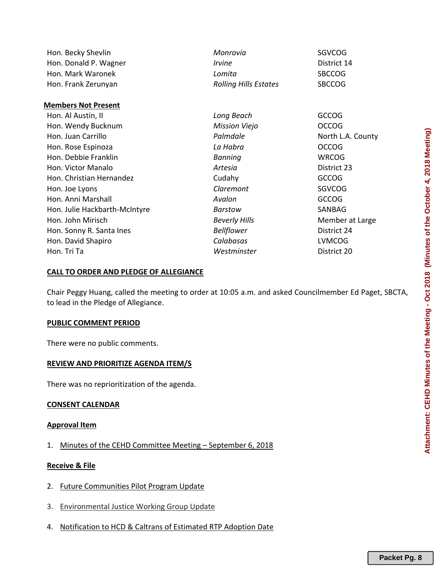| Hon. Becky Shevlin            | Monrovia                     | SGVCOG            |
|-------------------------------|------------------------------|-------------------|
| Hon. Donald P. Wagner         | <i><u><b>Irvine</b></u></i>  | District 14       |
| Hon. Mark Waronek             | Lomita                       | <b>SBCCOG</b>     |
| Hon. Frank Zerunyan           | <b>Rolling Hills Estates</b> | <b>SBCCOG</b>     |
| <b>Members Not Present</b>    |                              |                   |
| Hon. Al Austin, II            | Long Beach                   | <b>GCCOG</b>      |
| Hon. Wendy Bucknum            | <b>Mission Viejo</b>         | <b>OCCOG</b>      |
| Hon. Juan Carrillo            | Palmdale                     | North L.A. County |
| Hon. Rose Espinoza            | La Habra                     | <b>OCCOG</b>      |
| Hon. Debbie Franklin          | <b>Banning</b>               | <b>WRCOG</b>      |
| Hon. Victor Manalo            | Artesia                      | District 23       |
| Hon. Christian Hernandez      | Cudahy                       | <b>GCCOG</b>      |
| Hon. Joe Lyons                | Claremont                    | <b>SGVCOG</b>     |
| Hon. Anni Marshall            | Avalon                       | <b>GCCOG</b>      |
| Hon. Julie Hackbarth-McIntyre | Barstow                      | SANBAG            |
| Hon. John Mirisch             | <b>Beverly Hills</b>         | Member at Large   |
| Hon. Sonny R. Santa Ines      | <b>Bellflower</b>            | District 24       |
| Hon. David Shapiro            | Calabasas                    | <b>LVMCOG</b>     |
| Hon. Tri Ta                   | Westminster                  | District 20       |

## **CALL TO ORDER AND PLEDGE OF ALLEGIANCE**

Chair Peggy Huang, called the meeting to order at 10:05 a.m. and asked Councilmember Ed Paget, SBCTA, to lead in the Pledge of Allegiance.

#### **PUBLIC COMMENT PERIOD**

There were no public comments.

## **REVIEW AND PRIORITIZE AGENDA ITEM/S**

There was no reprioritization of the agenda.

## **CONSENT CALENDAR**

#### **Approval Item**

1. Minutes of the CEHD Committee Meeting – September 6, 2018

## **Receive & File**

- 2. Future Communities Pilot Program Update
- 3. Environmental Justice Working Group Update
- 4. Notification to HCD & Caltrans of Estimated RTP Adoption Date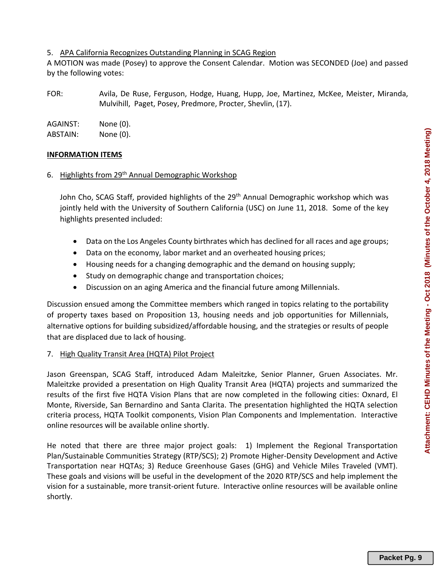#### 5. APA California Recognizes Outstanding Planning in SCAG Region

A MOTION was made (Posey) to approve the Consent Calendar. Motion was SECONDED (Joe) and passed by the following votes:

FOR: Avila, De Ruse, Ferguson, Hodge, Huang, Hupp, Joe, Martinez, McKee, Meister, Miranda, Mulvihill, Paget, Posey, Predmore, Procter, Shevlin, (17).

| AGAINST: | None (0). |
|----------|-----------|
| ABSTAIN: | None (0). |

## **INFORMATION ITEMS**

## 6. Highlights from 29th Annual Demographic Workshop

John Cho, SCAG Staff, provided highlights of the 29<sup>th</sup> Annual Demographic workshop which was jointly held with the University of Southern California (USC) on June 11, 2018. Some of the key highlights presented included:

- Data on the Los Angeles County birthrates which has declined for all races and age groups;
- Data on the economy, labor market and an overheated housing prices;
- Housing needs for a changing demographic and the demand on housing supply;
- Study on demographic change and transportation choices;
- Discussion on an aging America and the financial future among Millennials.

Discussion ensued among the Committee members which ranged in topics relating to the portability of property taxes based on Proposition 13, housing needs and job opportunities for Millennials, alternative options for building subsidized/affordable housing, and the strategies or results of people that are displaced due to lack of housing.

## 7. High Quality Transit Area (HQTA) Pilot Project

Jason Greenspan, SCAG Staff, introduced Adam Maleitzke, Senior Planner, Gruen Associates. Mr. Maleitzke provided a presentation on High Quality Transit Area (HQTA) projects and summarized the results of the first five HQTA Vision Plans that are now completed in the following cities: Oxnard, El Monte, Riverside, San Bernardino and Santa Clarita. The presentation highlighted the HQTA selection criteria process, HQTA Toolkit components, Vision Plan Components and Implementation. Interactive online resources will be available online shortly.

He noted that there are three major project goals: 1) Implement the Regional Transportation Plan/Sustainable Communities Strategy (RTP/SCS); 2) Promote Higher‐Density Development and Active Transportation near HQTAs; 3) Reduce Greenhouse Gases (GHG) and Vehicle Miles Traveled (VMT). These goals and visions will be useful in the development of the 2020 RTP/SCS and help implement the vision for a sustainable, more transit‐orient future. Interactive online resources will be available online shortly.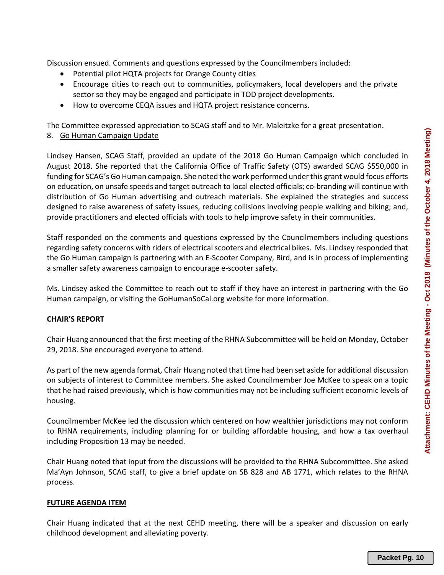Discussion ensued. Comments and questions expressed by the Councilmembers included:

- Potential pilot HQTA projects for Orange County cities
- Encourage cities to reach out to communities, policymakers, local developers and the private sector so they may be engaged and participate in TOD project developments.
- How to overcome CEQA issues and HQTA project resistance concerns.

The Committee expressed appreciation to SCAG staff and to Mr. Maleitzke for a great presentation. 8. Go Human Campaign Update

Lindsey Hansen, SCAG Staff, provided an update of the 2018 Go Human Campaign which concluded in August 2018. She reported that the California Office of Traffic Safety (OTS) awarded SCAG \$550,000 in funding for SCAG's Go Human campaign. She noted the work performed under this grant would focus efforts

on education, on unsafe speeds and target outreach to local elected officials; co‐branding will continue with distribution of Go Human advertising and outreach materials. She explained the strategies and success designed to raise awareness of safety issues, reducing collisions involving people walking and biking; and, provide practitioners and elected officials with tools to help improve safety in their communities.

Staff responded on the comments and questions expressed by the Councilmembers including questions regarding safety concerns with riders of electrical scooters and electrical bikes. Ms. Lindsey responded that the Go Human campaign is partnering with an E‐Scooter Company, Bird, and is in process of implementing a smaller safety awareness campaign to encourage e‐scooter safety.

Ms. Lindsey asked the Committee to reach out to staff if they have an interest in partnering with the Go Human campaign, or visiting the GoHumanSoCal.org website for more information.

#### **CHAIR'S REPORT**

Chair Huang announced that the first meeting of the RHNA Subcommittee will be held on Monday, October 29, 2018. She encouraged everyone to attend.

As part of the new agenda format, Chair Huang noted that time had been set aside for additional discussion on subjects of interest to Committee members. She asked Councilmember Joe McKee to speak on a topic that he had raised previously, which is how communities may not be including sufficient economic levels of housing.

Councilmember McKee led the discussion which centered on how wealthier jurisdictions may not conform to RHNA requirements, including planning for or building affordable housing, and how a tax overhaul including Proposition 13 may be needed.

Chair Huang noted that input from the discussions will be provided to the RHNA Subcommittee. She asked Ma'Ayn Johnson, SCAG staff, to give a brief update on SB 828 and AB 1771, which relates to the RHNA process.

#### **FUTURE AGENDA ITEM**

Chair Huang indicated that at the next CEHD meeting, there will be a speaker and discussion on early childhood development and alleviating poverty.